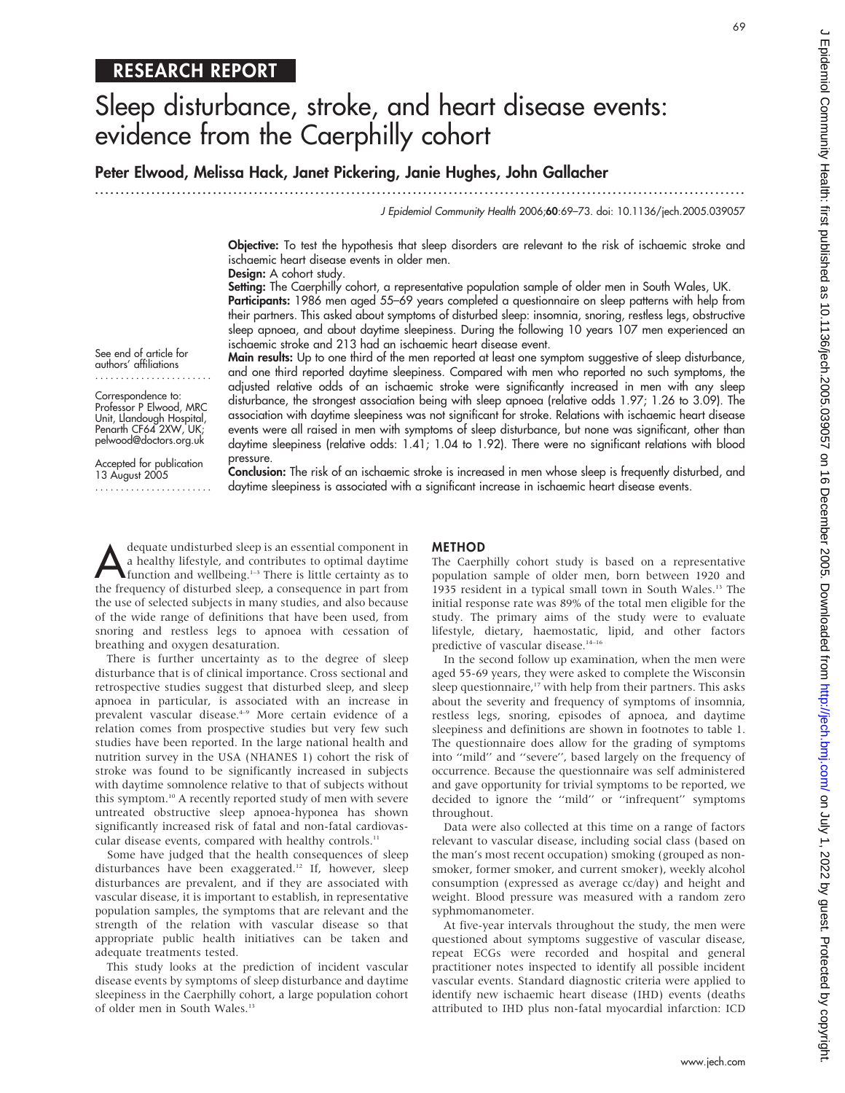69

# RESEARCH REPORT

# Sleep disturbance, stroke, and heart disease events: evidence from the Caerphilly cohort

#### Peter Elwood, Melissa Hack, Janet Pickering, Janie Hughes, John Gallacher

...............................................................................................................................

J Epidemiol Community Health 2006;60:69–73. doi: 10.1136/jech.2005.039057

Objective: To test the hypothesis that sleep disorders are relevant to the risk of ischaemic stroke and ischaemic heart disease events in older men.

Design: A cohort study.

Setting: The Caerphilly cohort, a representative population sample of older men in South Wales, UK. Participants: 1986 men aged 55–69 years completed a questionnaire on sleep patterns with help from

their partners. This asked about symptoms of disturbed sleep: insomnia, snoring, restless legs, obstructive sleep apnoea, and about daytime sleepiness. During the following 10 years 107 men experienced an ischaemic stroke and 213 had an ischaemic heart disease event.

See end of article for authors' affiliations .......................

Correspondence to: Professor P Elwood, MRC Unit, Llandough Hospital, Penarth CF64 2XW, UK; pelwood@doctors.org.uk

Accepted for publication 13 August 2005 ....................... Main results: Up to one third of the men reported at least one symptom suggestive of sleep disturbance, and one third reported daytime sleepiness. Compared with men who reported no such symptoms, the adjusted relative odds of an ischaemic stroke were significantly increased in men with any sleep disturbance, the strongest association being with sleep apnoea (relative odds 1.97; 1.26 to 3.09). The association with daytime sleepiness was not significant for stroke. Relations with ischaemic heart disease events were all raised in men with symptoms of sleep disturbance, but none was significant, other than daytime sleepiness (relative odds: 1.41; 1.04 to 1.92). There were no significant relations with blood pressure.

Conclusion: The risk of an ischaemic stroke is increased in men whose sleep is frequently disturbed, and daytime sleepiness is associated with a significant increase in ischaemic heart disease events.

dequate undisturbed sleep is an essential component in<br>
a healthy lifestyle, and contributes to optimal daytime<br>
function and wellbeing.<sup>1,3</sup> There is little certainty as to<br>
the frequency of disturbed sleep as unperformed a healthy lifestyle, and contributes to optimal daytime the frequency of disturbed sleep, a consequence in part from the use of selected subjects in many studies, and also because of the wide range of definitions that have been used, from snoring and restless legs to apnoea with cessation of breathing and oxygen desaturation.

There is further uncertainty as to the degree of sleep disturbance that is of clinical importance. Cross sectional and retrospective studies suggest that disturbed sleep, and sleep apnoea in particular, is associated with an increase in prevalent vascular disease.<sup>4-9</sup> More certain evidence of a relation comes from prospective studies but very few such studies have been reported. In the large national health and nutrition survey in the USA (NHANES 1) cohort the risk of stroke was found to be significantly increased in subjects with daytime somnolence relative to that of subjects without this symptom.10 A recently reported study of men with severe untreated obstructive sleep apnoea-hyponea has shown significantly increased risk of fatal and non-fatal cardiovascular disease events, compared with healthy controls.<sup>11</sup>

Some have judged that the health consequences of sleep disturbances have been exaggerated.<sup>12</sup> If, however, sleep disturbances are prevalent, and if they are associated with vascular disease, it is important to establish, in representative population samples, the symptoms that are relevant and the strength of the relation with vascular disease so that appropriate public health initiatives can be taken and adequate treatments tested.

This study looks at the prediction of incident vascular disease events by symptoms of sleep disturbance and daytime sleepiness in the Caerphilly cohort, a large population cohort of older men in South Wales.13

#### METHOD

The Caerphilly cohort study is based on a representative population sample of older men, born between 1920 and 1935 resident in a typical small town in South Wales.13 The initial response rate was 89% of the total men eligible for the study. The primary aims of the study were to evaluate lifestyle, dietary, haemostatic, lipid, and other factors predictive of vascular disease.<sup>14-16</sup>

In the second follow up examination, when the men were aged 55-69 years, they were asked to complete the Wisconsin sleep questionnaire,<sup>17</sup> with help from their partners. This asks about the severity and frequency of symptoms of insomnia, restless legs, snoring, episodes of apnoea, and daytime sleepiness and definitions are shown in footnotes to table 1. The questionnaire does allow for the grading of symptoms into ''mild'' and ''severe'', based largely on the frequency of occurrence. Because the questionnaire was self administered and gave opportunity for trivial symptoms to be reported, we decided to ignore the ''mild'' or ''infrequent'' symptoms throughout.

Data were also collected at this time on a range of factors relevant to vascular disease, including social class (based on the man's most recent occupation) smoking (grouped as nonsmoker, former smoker, and current smoker), weekly alcohol consumption (expressed as average cc/day) and height and weight. Blood pressure was measured with a random zero syphmomanometer.

At five-year intervals throughout the study, the men were questioned about symptoms suggestive of vascular disease, repeat ECGs were recorded and hospital and general practitioner notes inspected to identify all possible incident vascular events. Standard diagnostic criteria were applied to identify new ischaemic heart disease (IHD) events (deaths attributed to IHD plus non-fatal myocardial infarction: ICD

www.jech.com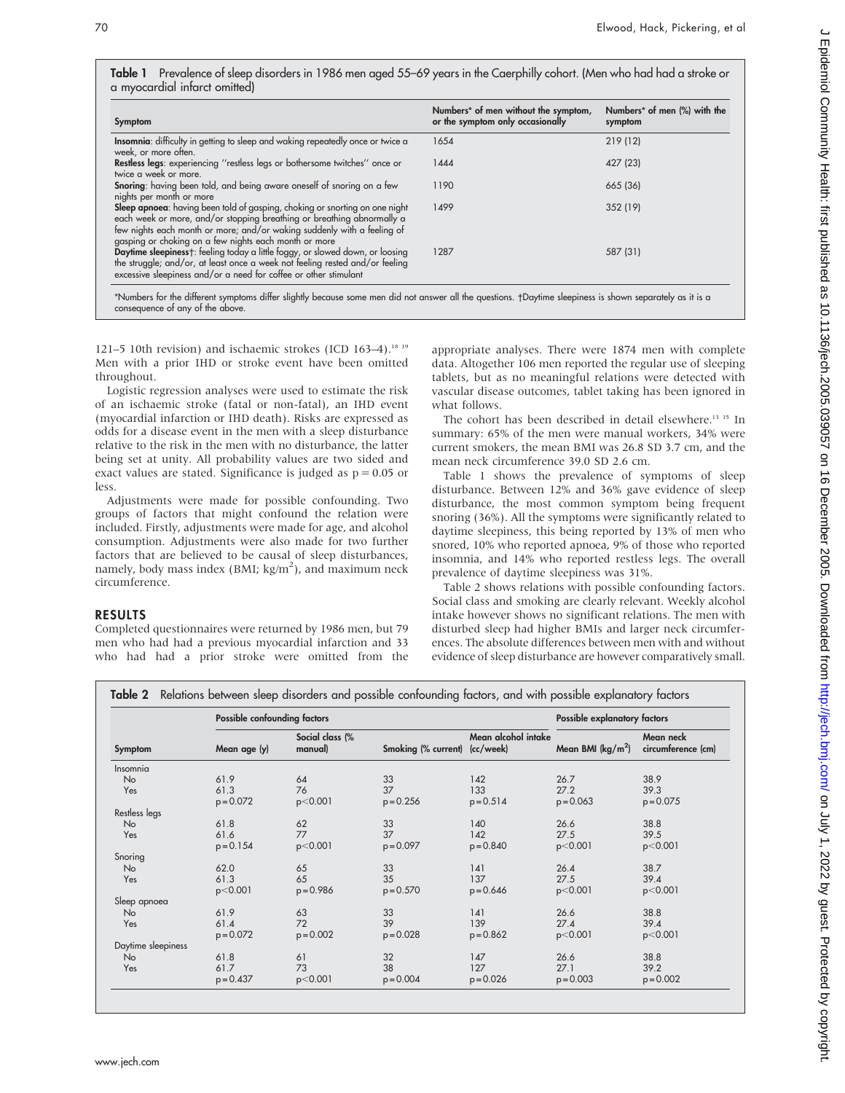Table 1 Prevalence of sleep disorders in 1986 men aged 55–69 years in the Caerphilly cohort. (Men who had had a stroke or a myocardial infarct omitted)

| Symptom                                                                                                                                                                                                                                                                                   | Numbers* of men without the symptom,<br>or the symptom only occasionally | Numbers <sup>*</sup> of men (%) with the<br>symptom |  |  |  |
|-------------------------------------------------------------------------------------------------------------------------------------------------------------------------------------------------------------------------------------------------------------------------------------------|--------------------------------------------------------------------------|-----------------------------------------------------|--|--|--|
| Insomnia: difficulty in getting to sleep and waking repeatedly once or twice a<br>week, or more often.                                                                                                                                                                                    | 1654                                                                     | 219(12)                                             |  |  |  |
| Restless legs: experiencing "restless legs or bothersome twitches" once or<br>twice a week or more.                                                                                                                                                                                       | 1444                                                                     | 427 (23)                                            |  |  |  |
| Snoring: having been told, and being aware oneself of snoring on a few<br>nights per month or more                                                                                                                                                                                        | 1190                                                                     | 665 (36)                                            |  |  |  |
| Sleep apnoea: having been told of gasping, choking or snorting on one night<br>each week or more, and/or stopping breathing or breathing abnormally a<br>few nights each month or more; and/or waking suddenly with a feeling of<br>gasping or choking on a few nights each month or more | 1499                                                                     | 352 (19)                                            |  |  |  |
| <b>Daytime sleepiness</b> †: feeling today a little foggy, or slowed down, or loosing<br>the struggle; and/or, at least once a week not feeling rested and/or feeling<br>excessive sleepiness and/or a need for coffee or other stimulant                                                 | 1287                                                                     | 587 (31)                                            |  |  |  |
| *Numbers for the different symptoms differ slightly because some men did not answer all the questions. †Daytime sleepiness is shown separately as it is a                                                                                                                                 |                                                                          |                                                     |  |  |  |

consequence of any of the above.

121–5 10th revision) and ischaemic strokes (ICD 163–4).<sup>18 19</sup> Men with a prior IHD or stroke event have been omitted throughout.

Logistic regression analyses were used to estimate the risk of an ischaemic stroke (fatal or non-fatal), an IHD event (myocardial infarction or IHD death). Risks are expressed as odds for a disease event in the men with a sleep disturbance relative to the risk in the men with no disturbance, the latter being set at unity. All probability values are two sided and exact values are stated. Significance is judged as  $p = 0.05$  or less.

Adjustments were made for possible confounding. Two groups of factors that might confound the relation were included. Firstly, adjustments were made for age, and alcohol consumption. Adjustments were also made for two further factors that are believed to be causal of sleep disturbances, namely, body mass index (BMI; kg/m<sup>2</sup>), and maximum neck circumference.

#### RESULTS

Completed questionnaires were returned by 1986 men, but 79 men who had had a previous myocardial infarction and 33 who had had a prior stroke were omitted from the appropriate analyses. There were 1874 men with complete data. Altogether 106 men reported the regular use of sleeping tablets, but as no meaningful relations were detected with vascular disease outcomes, tablet taking has been ignored in what follows.

The cohort has been described in detail elsewhere.13 15 In summary: 65% of the men were manual workers, 34% were current smokers, the mean BMI was 26.8 SD 3.7 cm, and the mean neck circumference 39.0 SD 2.6 cm.

Table 1 shows the prevalence of symptoms of sleep disturbance. Between 12% and 36% gave evidence of sleep disturbance, the most common symptom being frequent snoring (36%). All the symptoms were significantly related to daytime sleepiness, this being reported by 13% of men who snored, 10% who reported apnoea, 9% of those who reported insomnia, and 14% who reported restless legs. The overall prevalence of daytime sleepiness was 31%.

Table 2 shows relations with possible confounding factors. Social class and smoking are clearly relevant. Weekly alcohol intake however shows no significant relations. The men with disturbed sleep had higher BMIs and larger neck circumferences. The absolute differences between men with and without evidence of sleep disturbance are however comparatively small.

|  |  |  |  |  | Table 2 Relations between sleep disorders and possible confounding factors, and with possible explanatory factors |  |
|--|--|--|--|--|-------------------------------------------------------------------------------------------------------------------|--|
|--|--|--|--|--|-------------------------------------------------------------------------------------------------------------------|--|

|                    | Possible confounding factors |                            |                               |                     | Possible explanatory factors |                                 |
|--------------------|------------------------------|----------------------------|-------------------------------|---------------------|------------------------------|---------------------------------|
| Symptom            | Mean age (y)                 | Social class (%<br>manual) | Smoking (% current) (cc/week) | Mean alcohol intake | Mean BMI ( $\rm kg/m^2$ )    | Mean neck<br>circumference (cm) |
| Insomnia           |                              |                            |                               |                     |                              |                                 |
| <b>No</b>          | 61.9                         | 64                         | 33                            | 142                 | 26.7                         | 38.9                            |
| Yes                | 61.3<br>$p = 0.072$          | 76<br>p<0.001              | 37<br>$p = 0.256$             | 133<br>$p = 0.514$  | 27.2<br>$p = 0.063$          | 39.3<br>$p = 0.075$             |
| Restless legs      |                              |                            |                               |                     |                              |                                 |
| <b>No</b>          | 61.8                         | 62                         | 33                            | 140                 | 26.6                         | 38.8                            |
| Yes                | 61.6<br>$p = 0.154$          | 77<br>p<0.001              | 37<br>$p = 0.097$             | 142<br>$p = 0.840$  | 27.5<br>p<0.001              | 39.5<br>p<0.001                 |
| Snoring            |                              |                            |                               |                     |                              |                                 |
| <b>No</b>          | 62.0                         | 65                         | 33                            | 141                 | 26.4                         | 38.7                            |
| Yes                | 61.3<br>p<0.001              | 65<br>$p = 0.986$          | 35<br>$p = 0.570$             | 137<br>$p = 0.646$  | 27.5<br>p<0.001              | 39.4<br>p<0.001                 |
| Sleep apnoea       |                              |                            |                               |                     |                              |                                 |
| <b>No</b>          | 61.9                         | 63                         | 33                            | 141                 | 26.6                         | 38.8                            |
| Yes                | 61.4<br>$p = 0.072$          | 72<br>$p = 0.002$          | 39<br>$p = 0.028$             | 139<br>$p = 0.862$  | 27.4<br>p<0.001              | 39.4<br>p<0.001                 |
| Daytime sleepiness |                              |                            |                               |                     |                              |                                 |
| No.                | 61.8                         | 61                         | 32                            | 147                 | 26.6                         | 38.8                            |
| Yes                | 61.7<br>$p = 0.437$          | 73<br>p<0.001              | 38<br>$p = 0.004$             | 127<br>$p = 0.026$  | 27.1<br>$p = 0.003$          | 39.2<br>$p = 0.002$             |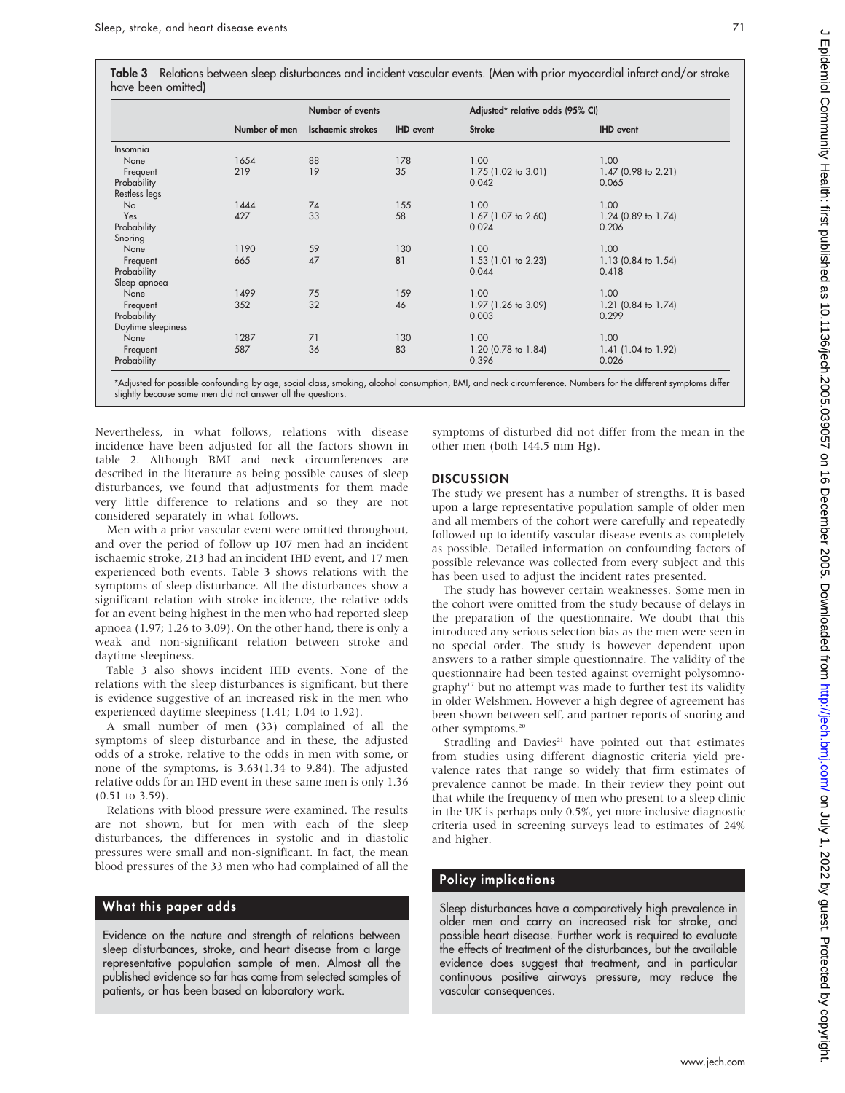Table 3 Relations between sleep disturbances and incident vascular events. (Men with prior myocardial infarct and/or stroke have been omitted)

|                    |               | Number of events  |                  | Adjusted* relative odds (95% CI) |                                |  |
|--------------------|---------------|-------------------|------------------|----------------------------------|--------------------------------|--|
|                    | Number of men | Ischaemic strokes | <b>IHD</b> event | <b>Stroke</b>                    | <b>IHD</b> event               |  |
| Insomnia           |               |                   |                  |                                  |                                |  |
| None               | 1654          | 88                | 178              | 1.00                             | 1.00                           |  |
| Frequent           | 219           | 19                | 35               | 1.75 (1.02 to 3.01)              | 1.47 (0.98 to 2.21)            |  |
| Probability        |               |                   |                  | 0.042                            | 0.065                          |  |
| Restless legs      |               |                   |                  |                                  |                                |  |
| <b>No</b>          | 1444          | 74                | 155              | 1.00                             | 1.00                           |  |
| Yes                | 427           | 33                | 58               | 1.67 (1.07 to 2.60)              | 1.24 (0.89 to 1.74)            |  |
| Probability        |               |                   |                  | 0.024                            | 0.206                          |  |
| Snoring            |               |                   |                  |                                  |                                |  |
| None               | 1190          | 59                | 130              | 1.00                             | 1.00                           |  |
| Frequent           | 665           | 47                | 81               | $1.53$ (1.01 to 2.23)            | 1.13 $(0.84 \text{ to } 1.54)$ |  |
| Probability        |               |                   |                  | 0.044                            | 0.418                          |  |
| Sleep apnoea       |               |                   |                  |                                  |                                |  |
| None               | 1499          | 75                | 159              | 1.00                             | 1.00                           |  |
| Frequent           | 352           | 32                | 46               | 1.97 (1.26 to 3.09)              | 1.21 $(0.84 \text{ to } 1.74)$ |  |
| Probability        |               |                   |                  | 0.003                            | 0.299                          |  |
| Daytime sleepiness |               |                   |                  |                                  |                                |  |
| None               | 1287          | 71                | 130              | 1.00                             | 1.00                           |  |
| Frequent           | 587           | 36                | 83               | 1.20 (0.78 to 1.84)              | 1.41 $(1.04 \text{ to } 1.92)$ |  |
| Probability        |               |                   |                  | 0.396                            | 0.026                          |  |

\*Adjusted for possible confounding by age, social class, smoking, alcohol consumption, BMI, and neck circumference. Numbers for the different symptoms differ slightly because some men did not answer all the questions.

Nevertheless, in what follows, relations with disease incidence have been adjusted for all the factors shown in table 2. Although BMI and neck circumferences are described in the literature as being possible causes of sleep disturbances, we found that adjustments for them made very little difference to relations and so they are not considered separately in what follows.

Men with a prior vascular event were omitted throughout, and over the period of follow up 107 men had an incident ischaemic stroke, 213 had an incident IHD event, and 17 men experienced both events. Table 3 shows relations with the symptoms of sleep disturbance. All the disturbances show a significant relation with stroke incidence, the relative odds for an event being highest in the men who had reported sleep apnoea (1.97; 1.26 to 3.09). On the other hand, there is only a weak and non-significant relation between stroke and daytime sleepiness.

Table 3 also shows incident IHD events. None of the relations with the sleep disturbances is significant, but there is evidence suggestive of an increased risk in the men who experienced daytime sleepiness (1.41; 1.04 to 1.92).

A small number of men (33) complained of all the symptoms of sleep disturbance and in these, the adjusted odds of a stroke, relative to the odds in men with some, or none of the symptoms, is 3.63(1.34 to 9.84). The adjusted relative odds for an IHD event in these same men is only 1.36 (0.51 to 3.59).

Relations with blood pressure were examined. The results are not shown, but for men with each of the sleep disturbances, the differences in systolic and in diastolic pressures were small and non-significant. In fact, the mean blood pressures of the 33 men who had complained of all the

#### What this paper adds

Evidence on the nature and strength of relations between sleep disturbances, stroke, and heart disease from a large representative population sample of men. Almost all the published evidence so far has come from selected samples of patients, or has been based on laboratory work.

symptoms of disturbed did not differ from the mean in the other men (both 144.5 mm Hg).

#### **DISCUSSION**

The study we present has a number of strengths. It is based upon a large representative population sample of older men and all members of the cohort were carefully and repeatedly followed up to identify vascular disease events as completely as possible. Detailed information on confounding factors of possible relevance was collected from every subject and this has been used to adjust the incident rates presented.

The study has however certain weaknesses. Some men in the cohort were omitted from the study because of delays in the preparation of the questionnaire. We doubt that this introduced any serious selection bias as the men were seen in no special order. The study is however dependent upon answers to a rather simple questionnaire. The validity of the questionnaire had been tested against overnight polysomno $graphy<sup>17</sup>$  but no attempt was made to further test its validity in older Welshmen. However a high degree of agreement has been shown between self, and partner reports of snoring and other symptoms.<sup>20</sup>

Stradling and Davies $21$  have pointed out that estimates from studies using different diagnostic criteria yield prevalence rates that range so widely that firm estimates of prevalence cannot be made. In their review they point out that while the frequency of men who present to a sleep clinic in the UK is perhaps only 0.5%, yet more inclusive diagnostic criteria used in screening surveys lead to estimates of 24% and higher.

## Policy implications

Sleep disturbances have a comparatively high prevalence in older men and carry an increased risk for stroke, and possible heart disease. Further work is required to evaluate the effects of treatment of the disturbances, but the available evidence does suggest that treatment, and in particular continuous positive airways pressure, may reduce the vascular consequences.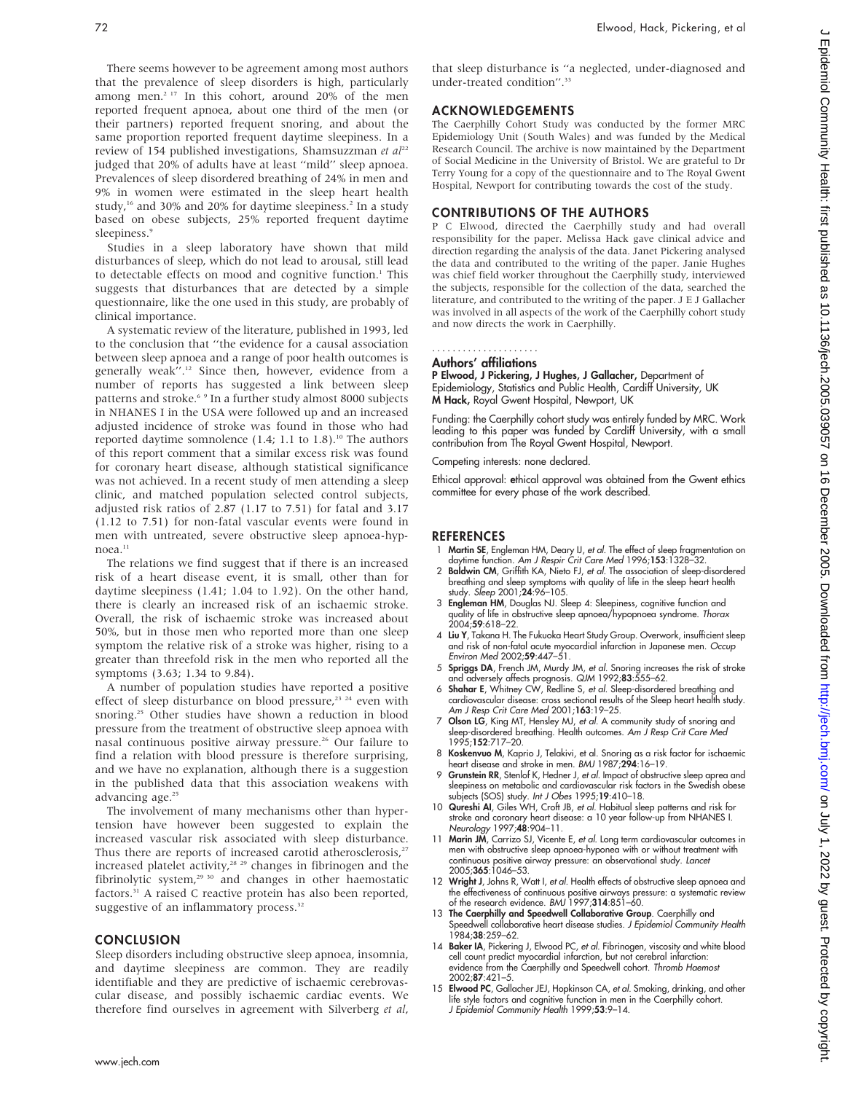There seems however to be agreement among most authors that the prevalence of sleep disorders is high, particularly among men.<sup>2 17</sup> In this cohort, around 20% of the men reported frequent apnoea, about one third of the men (or their partners) reported frequent snoring, and about the same proportion reported frequent daytime sleepiness. In a review of 154 published investigations, Shamsuzzman et  $al^{22}$ judged that 20% of adults have at least ''mild'' sleep apnoea. Prevalences of sleep disordered breathing of 24% in men and 9% in women were estimated in the sleep heart health study,<sup>16</sup> and 30% and 20% for daytime sleepiness.<sup>2</sup> In a study based on obese subjects, 25% reported frequent daytime sleepiness.<sup>9</sup>

Studies in a sleep laboratory have shown that mild disturbances of sleep, which do not lead to arousal, still lead to detectable effects on mood and cognitive function.<sup>1</sup> This suggests that disturbances that are detected by a simple questionnaire, like the one used in this study, are probably of clinical importance.

A systematic review of the literature, published in 1993, led to the conclusion that ''the evidence for a causal association between sleep apnoea and a range of poor health outcomes is generally weak".<sup>12</sup> Since then, however, evidence from a number of reports has suggested a link between sleep patterns and stroke.<sup>6</sup> <sup>9</sup> In a further study almost 8000 subjects in NHANES I in the USA were followed up and an increased adjusted incidence of stroke was found in those who had reported daytime somnolence  $(1.4; 1.1$  to  $1.8)$ .<sup>10</sup> The authors of this report comment that a similar excess risk was found for coronary heart disease, although statistical significance was not achieved. In a recent study of men attending a sleep clinic, and matched population selected control subjects, adjusted risk ratios of 2.87 (1.17 to 7.51) for fatal and 3.17 (1.12 to 7.51) for non-fatal vascular events were found in men with untreated, severe obstructive sleep apnoea-hypnoea.<sup>11</sup>

The relations we find suggest that if there is an increased risk of a heart disease event, it is small, other than for daytime sleepiness (1.41; 1.04 to 1.92). On the other hand, there is clearly an increased risk of an ischaemic stroke. Overall, the risk of ischaemic stroke was increased about 50%, but in those men who reported more than one sleep symptom the relative risk of a stroke was higher, rising to a greater than threefold risk in the men who reported all the symptoms (3.63; 1.34 to 9.84).

A number of population studies have reported a positive effect of sleep disturbance on blood pressure,<sup>23 24</sup> even with snoring.<sup>25</sup> Other studies have shown a reduction in blood pressure from the treatment of obstructive sleep apnoea with nasal continuous positive airway pressure.<sup>26</sup> Our failure to find a relation with blood pressure is therefore surprising, and we have no explanation, although there is a suggestion in the published data that this association weakens with advancing age.<sup>25</sup>

The involvement of many mechanisms other than hypertension have however been suggested to explain the increased vascular risk associated with sleep disturbance. Thus there are reports of increased carotid atherosclerosis, $27$ increased platelet activity,<sup>28 29</sup> changes in fibrinogen and the fibrinolytic system,<sup>29 30</sup> and changes in other haemostatic factors.<sup>31</sup> A raised C reactive protein has also been reported, suggestive of an inflammatory process.<sup>32</sup>

#### **CONCLUSION**

Sleep disorders including obstructive sleep apnoea, insomnia, and daytime sleepiness are common. They are readily identifiable and they are predictive of ischaemic cerebrovascular disease, and possibly ischaemic cardiac events. We therefore find ourselves in agreement with Silverberg et al, that sleep disturbance is ''a neglected, under-diagnosed and under-treated condition".<sup>33</sup>

# ACKNOWLEDGEMENTS

The Caerphilly Cohort Study was conducted by the former MRC Epidemiology Unit (South Wales) and was funded by the Medical Research Council. The archive is now maintained by the Department of Social Medicine in the University of Bristol. We are grateful to Dr Terry Young for a copy of the questionnaire and to The Royal Gwent Hospital, Newport for contributing towards the cost of the study.

## CONTRIBUTIONS OF THE AUTHORS

P C Elwood, directed the Caerphilly study and had overall responsibility for the paper. Melissa Hack gave clinical advice and direction regarding the analysis of the data. Janet Pickering analysed the data and contributed to the writing of the paper. Janie Hughes was chief field worker throughout the Caerphilly study, interviewed the subjects, responsible for the collection of the data, searched the literature, and contributed to the writing of the paper. J E J Gallacher was involved in all aspects of the work of the Caerphilly cohort study and now directs the work in Caerphilly.

# .....................

Authors' affiliations

P Elwood, J Pickering, J Hughes, J Gallacher, Department of Epidemiology, Statistics and Public Health, Cardiff University, UK M Hack, Royal Gwent Hospital, Newport, UK

Funding: the Caerphilly cohort study was entirely funded by MRC. Work leading to this paper was funded by Cardiff University, with a small contribution from The Royal Gwent Hospital, Newport.

Competing interests: none declared.

Ethical approval: ethical approval was obtained from the Gwent ethics committee for every phase of the work described.

#### **REFERENCES**

- 1 Martin SE, Engleman HM, Deary IJ, et al. The effect of sleep fragmentation on daytime function. Am J Respir Crit Care Med 1996;**153**:1328–32.
- 2 Baldwin CM, Griffith KA, Nieto FJ, et al. The association of sleep-disordered breathing and sleep symptoms with quality of life in the sleep heart health study. Sleep 2001;24:96–105.
- 3 Engleman HM, Douglas NJ. Sleep 4: Sleepiness, cognitive function and quality of life in obstructive sleep apnoea/hypopnoea syndrome. Thorax 2004;59:618–22.
- 4 Liu Y, Takana H. The Fukuoka Heart Study Group. Overwork, insufficient sleep and risk of non-fatal acute myocardial infarction in Japanese men. Occup Environ Med 2002;59:447–51.
- 5 Spriggs DA, French JM, Murdy JM, et al. Snoring increases the risk of stroke
- and adversely affects prognosis. QJM 1992;83:555–62.<br>6 S**hahar E**, Whitney CW, Redline S, *et al.* Sleep-disordered breathing and cardiovascular disease: cross sectional results of the Sleep heart health study. Am J Resp Crit Care Med 2001;163:19-25.
- 7 Olson LG, King MT, Hensley MJ, et al. A community study of snoring and sleep-disordered breathing. Health outcomes. Am J Resp Crit Care Med 1995;152:717–20.
- 8 Koskenvuo M, Kaprio J, Telakivi, et al. Snoring as a risk factor for ischaemic heart disease and stroke in men. BMJ 1987;294:16-19.
- 9 Grunstein RR, Stenlof K, Hedner J, et al. Impact of obstructive sleep aprea and sleepiness on metabolic and cardiovascular risk factors in the Swedish obese subjects (SOS) study. Int J Obes 1995;19:410–18.
- 10 Qureshi AI, Giles WH, Croft JB, et al. Habitual sleep patterns and risk for stroke and coronary heart disease: a 10 year follow-up from NHANES I. Neurology 1997;48:904-11.
- 11 Marin JM, Carrizo SJ, Vicente E, et al. Long term cardiovascular outcomes in men with obstructive sleep apnoea-hyponea with or without treatment with continuous positive airway pressure: an observational study. *Lancet*<br>2005;**365**:1046–53.
- 12 Wright J, Johns R, Watt I, et al. Health effects of obstructive sleep apnoea and the effectiveness of continuous positive airways pressure: a systematic review of the research evidence. BMJ 1997;314:851–60.
- 13 The Caerphilly and Speedwell Collaborative Group. Caerphilly and Speedwell collaborative heart disease studies. J Epidemiol Community Health 1984;38:259–62.
- 14 Baker IA, Pickering J, Elwood PC, et al. Fibrinogen, viscosity and white blood cell count predict myocardial infarction, but not cerebral infarction: evidence from the Caerphilly and Speedwell cohort. Thromb Haemost 2002;87:421–5.
- 15 Elwood PC, Gallacher JEJ, Hopkinson CA, et al. Smoking, drinking, and other lite style tactors and cognitive tunction in men in the Caerphilly cohort.<br>*J Epidemiol Community Health* 1999;**53**:9–14.

 $\subset$